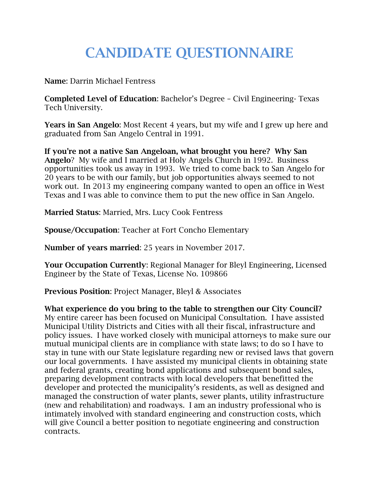# **CANDIDATE QUESTIONNAIRE**

**Name**: Darrin Michael Fentress

**Completed Level of Education**: Bachelor's Degree – Civil Engineering- Texas Tech University.

**Years in San Angelo**: Most Recent 4 years, but my wife and I grew up here and graduated from San Angelo Central in 1991.

**If you're not a native San Angeloan, what brought you here? Why San Angelo**? My wife and I married at Holy Angels Church in 1992. Business opportunities took us away in 1993. We tried to come back to San Angelo for 20 years to be with our family, but job opportunities always seemed to not work out. In 2013 my engineering company wanted to open an office in West Texas and I was able to convince them to put the new office in San Angelo.

**Married Status**: Married, Mrs. Lucy Cook Fentress

**Spouse/Occupation**: Teacher at Fort Concho Elementary

**Number of years married**: 25 years in November 2017.

**Your Occupation Currently**: Regional Manager for Bleyl Engineering, Licensed Engineer by the State of Texas, License No. 109866

**Previous Position**: Project Manager, Bleyl & Associates

**What experience do you bring to the table to strengthen our City Council?** My entire career has been focused on Municipal Consultation. I have assisted Municipal Utility Districts and Cities with all their fiscal, infrastructure and policy issues. I have worked closely with municipal attorneys to make sure our mutual municipal clients are in compliance with state laws; to do so I have to stay in tune with our State legislature regarding new or revised laws that govern our local governments. I have assisted my municipal clients in obtaining state and federal grants, creating bond applications and subsequent bond sales, preparing development contracts with local developers that benefitted the developer and protected the municipality's residents, as well as designed and managed the construction of water plants, sewer plants, utility infrastructure (new and rehabilitation) and roadways. I am an industry professional who is intimately involved with standard engineering and construction costs, which will give Council a better position to negotiate engineering and construction contracts.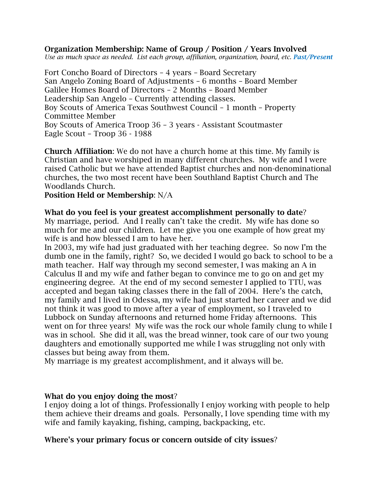#### **Organization Membership: Name of Group / Position / Years Involved**

*Use as much space as needed. List each group, affiliation, organization, board, etc. Past/Present*

Fort Concho Board of Directors – 4 years – Board Secretary San Angelo Zoning Board of Adjustments – 6 months – Board Member Galilee Homes Board of Directors – 2 Months – Board Member Leadership San Angelo – Currently attending classes. Boy Scouts of America Texas Southwest Council – 1 month – Property Committee Member Boy Scouts of America Troop 36 – 3 years - Assistant Scoutmaster Eagle Scout – Troop 36 - 1988

**Church Affiliation**: We do not have a church home at this time. My family is Christian and have worshiped in many different churches. My wife and I were raised Catholic but we have attended Baptist churches and non-denominational churches, the two most recent have been Southland Baptist Church and The Woodlands Church.

**Position Held or Membership**: N/A

**What do you feel is your greatest accomplishment personally to date**? My marriage, period. And I really can't take the credit. My wife has done so much for me and our children. Let me give you one example of how great my wife is and how blessed I am to have her.

In 2003, my wife had just graduated with her teaching degree. So now I'm the dumb one in the family, right? So, we decided I would go back to school to be a math teacher. Half way through my second semester, I was making an A in Calculus II and my wife and father began to convince me to go on and get my engineering degree. At the end of my second semester I applied to TTU, was accepted and began taking classes there in the fall of 2004. Here's the catch, my family and I lived in Odessa, my wife had just started her career and we did not think it was good to move after a year of employment, so I traveled to Lubbock on Sunday afternoons and returned home Friday afternoons. This went on for three years! My wife was the rock our whole family clung to while I was in school. She did it all, was the bread winner, took care of our two young daughters and emotionally supported me while I was struggling not only with classes but being away from them.

My marriage is my greatest accomplishment, and it always will be.

#### **What do you enjoy doing the most**?

I enjoy doing a lot of things. Professionally I enjoy working with people to help them achieve their dreams and goals. Personally, I love spending time with my wife and family kayaking, fishing, camping, backpacking, etc.

#### **Where's your primary focus or concern outside of city issues**?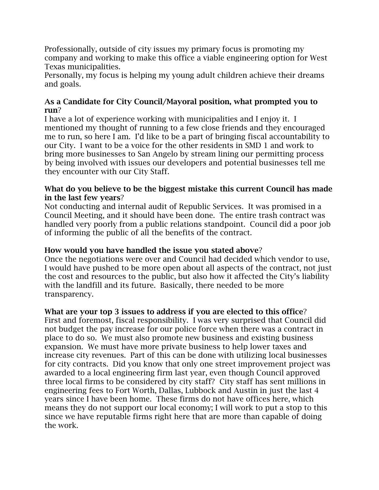Professionally, outside of city issues my primary focus is promoting my company and working to make this office a viable engineering option for West Texas municipalities.

Personally, my focus is helping my young adult children achieve their dreams and goals.

# **As a Candidate for City Council/Mayoral position, what prompted you to run**?

I have a lot of experience working with municipalities and I enjoy it. I mentioned my thought of running to a few close friends and they encouraged me to run, so here I am. I'd like to be a part of bringing fiscal accountability to our City. I want to be a voice for the other residents in SMD 1 and work to bring more businesses to San Angelo by stream lining our permitting process by being involved with issues our developers and potential businesses tell me they encounter with our City Staff.

## **What do you believe to be the biggest mistake this current Council has made in the last few years**?

Not conducting and internal audit of Republic Services. It was promised in a Council Meeting, and it should have been done. The entire trash contract was handled very poorly from a public relations standpoint. Council did a poor job of informing the public of all the benefits of the contract.

# **How would you have handled the issue you stated above**?

Once the negotiations were over and Council had decided which vendor to use, I would have pushed to be more open about all aspects of the contract, not just the cost and resources to the public, but also how it affected the City's liability with the landfill and its future. Basically, there needed to be more transparency.

## **What are your top 3 issues to address if you are elected to this office**?

First and foremost, fiscal responsibility. I was very surprised that Council did not budget the pay increase for our police force when there was a contract in place to do so. We must also promote new business and existing business expansion. We must have more private business to help lower taxes and increase city revenues. Part of this can be done with utilizing local businesses for city contracts. Did you know that only one street improvement project was awarded to a local engineering firm last year, even though Council approved three local firms to be considered by city staff? City staff has sent millions in engineering fees to Fort Worth, Dallas, Lubbock and Austin in just the last 4 years since I have been home. These firms do not have offices here, which means they do not support our local economy; I will work to put a stop to this since we have reputable firms right here that are more than capable of doing the work.